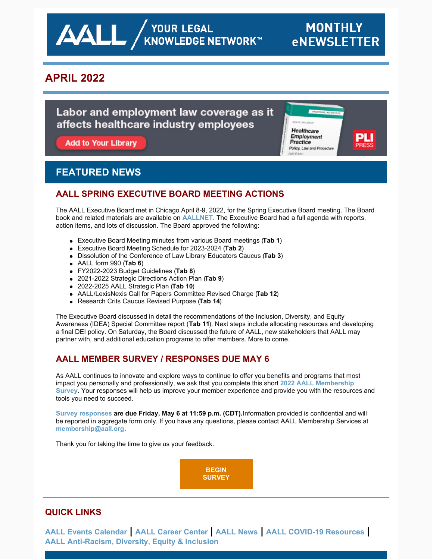**AALL** AND VOUR LEGAL

Healthcare Employment Practice

Policy, Law and Procedure

# **APRIL 2022**

# Labor and employment law coverage as it affects healthcare industry employees

Add to Your Library

# **FEATURED NEWS**

## **AALL SPRING EXECUTIVE BOARD MEETING ACTIONS**

The AALL Executive Board met in Chicago April 8-9, 2022, for the Spring Executive Board meeting. The Board book and related materials are available on **[AALLNET](https://www.aallnet.org/wp-content/uploads/_mediavault/2022/04/Board-Book-April-2022-Complete-for-Members.pdf)**. The Executive Board had a full agenda with reports, action items, and lots of discussion. The Board approved the following:

- Executive Board Meeting minutes from various Board meetings (**Tab 1**)
- Executive Board Meeting Schedule for 2023-2024 (**Tab 2**)
- Dissolution of the Conference of Law Library Educators Caucus (**Tab 3**)
- AALL form 990 (**Tab 6**)
- FY2022-2023 Budget Guidelines (**Tab 8**)
- 2021-2022 Strategic Directions Action Plan (**Tab 9**)
- 2022-2025 AALL Strategic Plan (**Tab 10**)
- AALL/LexisNexis Call for Papers Committee Revised Charge (**Tab 12**)
- Research Crits Caucus Revised Purpose (**Tab 14**)

The Executive Board discussed in detail the recommendations of the Inclusion, Diversity, and Equity Awareness (IDEA) Special Committee report (**Tab 11**). Next steps include allocating resources and developing a final DEI policy. On Saturday, the Board discussed the future of AALL, new stakeholders that AALL may partner with, and additional education programs to offer members. More to come.

# **AALL MEMBER SURVEY / RESPONSES DUE MAY 6**

As AALL continues to innovate and explore ways to continue to offer you benefits and programs that most impact you personally and [professionally,](https://www.surveymonkey.com/r/RB38MK9) we ask that you complete this short **2022 AALL Membership Survey**. Your responses will help us improve your member experience and provide you with the resources and tools you need to succeed.

**Survey [responses](https://www.surveymonkey.com/r/RB38MK9) are due Friday, May 6 at 11:59 p.m. (CDT).**Information provided is confidential and will be reported in aggregate form only. If you have any questions, please contact AALL Membership Services at **[membership@aall.org](mailto:membership@aall.org)**.

Thank you for taking the time to give us your feedback.

**BEGIN [SURVEY](https://www.surveymonkey.com/r/RB38MK9)**

## **QUICK LINKS**

**AALL Events [Calendar](https://www.aallnet.org/forms/MeetingCalendar/) | AALL [Career](https://careers.aallnet.org/) Center | [AALL](https://www.aallnet.org/about-us/press-room/news/) News | AALL COVID-19 [Resources](https://www.aallnet.org/about-us/press-room/coronavirus/) | AALL [Anti-Racism,](https://www.aallnet.org/about-us/press-room/anti-racism-diversity-equity-inclusion/) Diversity, Equity & Inclusion**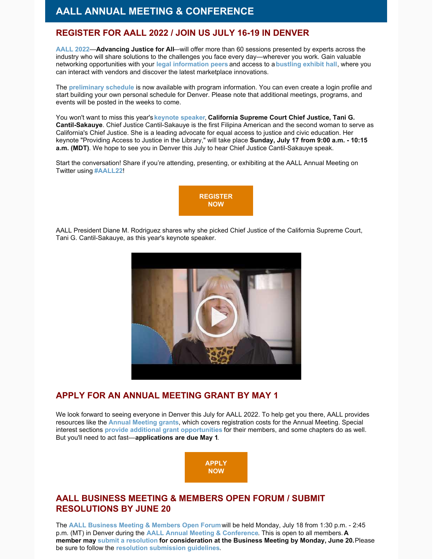# **AALL ANNUAL MEETING & CONFERENCE**

#### **REGISTER FOR AALL 2022 / JOIN US JULY 16-19 IN DENVER**

**[AALL](https://www.aallnet.org/conference/) 2022**—**Advancing Justice for All**—will offer more than 60 sessions presented by experts across the industry who will share solutions to the challenges you face every day—wherever you work. Gain valuable networking opportunities with your **legal [information](https://eventmobi.com/aall2022/people/ef0c5398-586b-427d-b542-c1aa49688886) peers** and access to a**[bustling](https://www.aallnet.org/conference/sponsors-exhibitors/exhibitors/exhibitor-list/) exhibit hall**, where you can interact with vendors and discover the latest marketplace innovations.

The **[preliminary](https://eventmobi.com/aall2022/) schedule** is now available with program information. You can even create a login profile and start building your own personal schedule for Denver. Please note that additional meetings, programs, and events will be posted in the weeks to come.

You won't want to miss this year's **[keynote](https://www.aallnet.org/conference/agenda/keynote-speaker/) speaker**, **California Supreme Court Chief Justice, Tani G. Cantil-Sakauye**. Chief Justice Cantil-Sakauye is the first Filipina American and the second woman to serve as California's Chief Justice. She is a leading advocate for equal access to justice and civic education. Her keynote "Providing Access to Justice in the Library," will take place **Sunday, July 17 from 9:00 a.m. - 10:15 a.m. (MDT)**. We hope to see you in Denver this July to hear Chief Justice Cantil-Sakauye speak.

Start the conversation! Share if you're attending, presenting, or exhibiting at the AALL Annual Meeting on Twitter using **[#AALL22](https://twitter.com/search?q=AALL22&src=typed_query)**!



AALL President Diane M. Rodriguez shares why she picked Chief Justice of the California Supreme Court, Tani G. Cantil-Sakauye, as this year's keynote speaker.



#### **APPLY FOR AN ANNUAL MEETING GRANT BY MAY 1**

We look forward to seeing everyone in Denver this July for AALL 2022. To help get you there, AALL provides resources like the **Annual [Meeting](https://www.aallnet.org/education-training/grants/annual-meeting-grants/) grants**, which covers registration costs for the Annual Meeting. Special interest sections **provide additional grant [opportunities](https://www.aallnet.org/education-training/grants/sis-sponsored-grants/)** for their members, and some chapters do as well. But you'll need to act fast—**applications are due May 1**.



### **AALL BUSINESS MEETING & MEMBERS OPEN FORUM / SUBMIT RESOLUTIONS BY JUNE 20**

The **AALL [Business](https://eventmobi.com/aall2022/agenda/00000000-0000-0000-0000-4147454e4441/1a79cf05-071f-4233-a9c5-7935db814c95) Meeting & Members Open Forum**will be held Monday, July 18 from 1:30 p.m. - 2:45 p.m. (MT) in Denver during the **AALL Annual Meeting & [Conference](https://www.aallnet.org/conference/)**. This is open to all members. **A member may submit a [resolution](https://www.aallnet.org/about-us/what-we-do/resolutions/resolution-submission-form/) for consideration at the Business Meeting by Monday, June 20.**Please be sure to follow the **resolution [submission](https://www.aallnet.org/about-us/what-we-do/resolutions/resolution-submission-form/resolution-submission-procedures/) guidelines**.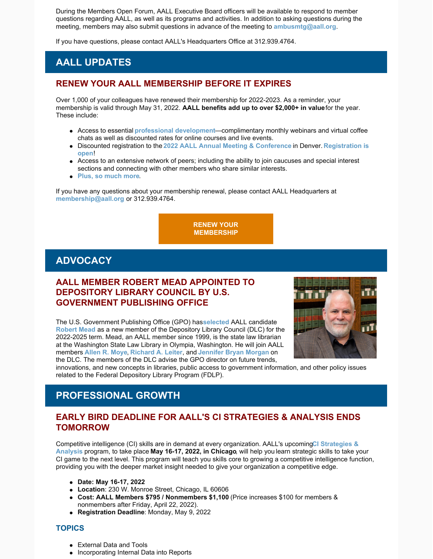During the Members Open Forum, AALL Executive Board officers will be available to respond to member questions regarding AALL, as well as its programs and activities. In addition to asking questions during the meeting, members may also submit questions in advance of the meeting to **[ambusmtg@aall.org](mailto:ambusmtg@aall.org)**.

If you have questions, please contact AALL's Headquarters Office at 312.939.4764.

# **AALL UPDATES**

#### **RENEW YOUR AALL MEMBERSHIP BEFORE IT EXPIRES**

Over 1,000 of your colleagues have renewed their membership for 2022-2023. As a reminder, your membership is valid through May 31, 2022. **AALL benefits add up to over \$2,000+ in value**for the year. These include:

- Access to essential **professional [development](https://elearning.aallnet.org/)**—complimentary monthly webinars and virtual coffee chats as well as discounted rates for online courses and live events.
- Discounted registration to the **2022 AALL Annual Meeting & [Conference](https://www.aallnet.org/conference/)** in Denver. **[Registration](https://aallconference.org/registration/) is open**!
- Access to an extensive network of peers; including the ability to join caucuses and special interest sections and connecting with other members who share similar interests.
- **Plus, so [much](https://www.aallnet.org/community/membership/benefits/) more**.

If you have any questions about your membership renewal, please contact AALL Headquarters at **[membership@aall.org](mailto:membership@aall.org)** or 312.939.4764.

> **RENEW YOUR [MEMBERSHIP](https://www.aallnet.org/community/membership/join-renew/)**

# **ADVOCACY**

## **AALL MEMBER ROBERT MEAD APPOINTED TO DEPOSITORY LIBRARY COUNCIL BY U.S. GOVERNMENT PUBLISHING OFFICE**

The U.S. Government Publishing Office (GPO) has**[selected](https://www.aallnet.org/wp-content/uploads/2022/04/PR_AALL-Member-Appointed-to-DLC_FINAL.pdf)** AALL candidate **[Robert](https://www.aallnet.org/forms/cas/login?service=/members_only/membership/IndividualFormPublicMembers/detail%3Fid%3D201000C9C2A) Mead** as a new member of the Depository Library Council (DLC) for the 2022-2025 term. Mead, an AALL member since 1999, is the state law librarian at the Washington State Law Library in Olympia, Washington. He will join AALL members **[Allen](https://www.aallnet.org/forms/cas/login?service=/members_only/membership/IndividualFormPublicMembers/detail%3Fid%3D2010006D474) R. Moye**, **[Richard](https://www.aallnet.org/forms/cas/login?service=/members_only/membership/IndividualFormPublicMembers/detail%3Fid%3D2010003D0FB) A. Leiter**, and **[Jennifer](https://www.aallnet.org/forms/cas/login?service=/members_only/membership/IndividualFormPublicMembers/detail%3Fid%3D201001012A9) Bryan Morgan** on the DLC. The members of the DLC advise the GPO director on future trends,



innovations, and new concepts in libraries, public access to government information, and other policy issues related to the Federal Depository Library Program (FDLP).

# **PROFESSIONAL GROWTH**

#### **EARLY BIRD DEADLINE FOR AALL'S CI STRATEGIES & ANALYSIS ENDS TOMORROW**

Competitive intelligence (CI) skills are in demand at every [organization.](https://www.aallnet.org/education-training/in-person-programs-seminars/competitive-intelligence-series/ci-strategies-analysis/) AALL's upcoming**CI Strategies & Analysis** program, to take place **May 16-17, 2022, in Chicago**, will help you learn strategic skills to take your CI game to the next level. This program will teach you skills core to growing a competitive intelligence function, providing you with the deeper market insight needed to give your organization a competitive edge.

- **Date: May 16-17, 2022**
- **Location**: 230 W. Monroe Street, Chicago, IL 60606
- **Cost: AALL Members \$795 / Nonmembers \$1,100** (Price increases \$100 for members & nonmembers after Friday, April 22, 2022).
- **Registration Deadline**: Monday, May 9, 2022

#### **TOPICS**

- External Data and Tools
- Incorporating Internal Data into Reports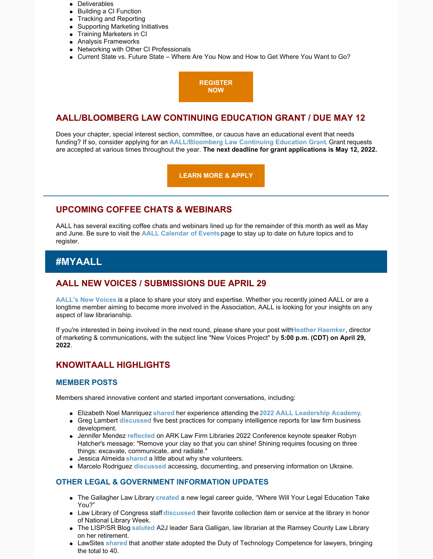- Deliverables
- Building a CI Function
- Tracking and Reporting
- Supporting Marketing Initiatives
- Training Marketers in CI
- Analysis Frameworks
- Networking with Other CI Professionals
- Current State vs. Future State Where Are You Now and How to Get Where You Want to Go?

**[REGISTER](https://www.aallnet.org/education-training/in-person-programs-seminars/competitive-intelligence-series/ci-strategies-analysis/) NOW**

### **AALL/BLOOMBERG LAW CONTINUING EDUCATION GRANT / DUE MAY 12**

Does your chapter, special interest section, committee, or caucus have an educational event that needs funding? If so, consider applying for an **[AALL/Bloomberg](https://www.aallnet.org/education-training/grants/cpe-program-grants/) Law Continuing Education Grant**. Grant requests are accepted at various times throughout the year. **The next deadline for grant applications is May 12, 2022.**

**[LEARN](https://www.aallnet.org/education-training/grants/cpe-program-grants/) MORE & APPLY**

### **UPCOMING COFFEE CHATS & WEBINARS**

AALL has several exciting coffee chats and webinars lined up for the remainder of this month as well as May and June. Be sure to visit the **AALL [Calendar](https://www.aallnet.org/forms/MeetingCalendar/) of Events**page to stay up to date on future topics and to register.

# **#MYAALL**

### **AALL NEW VOICES / SUBMISSIONS DUE APRIL 29**

**[AALL's](https://www.aallnet.org/community/membership/meet-our-members/newvoices/) New Voices** is a place to share your story and expertise. Whether you recently joined AALL or are a longtime member aiming to become more involved in the Association, AALL is looking for your insights on any aspect of law librarianship.

If you're interested in being involved in the next round, please share your post with**Heather [Haemker](mailto:hhaemker@aall.org)**, director of marketing & communications, with the subject line "New Voices Project" by **5:00 p.m. (CDT) on April 29, 2022**.

### **KNOWITAALL HIGHLIGHTS**

#### **MEMBER POSTS**

Members shared innovative content and started important conversations, including:

- Elizabeth Noel Manriquez **[shared](https://ripslawlibrarian.wordpress.com/2022/04/06/at-your-service/)** her experience attending the **2022 AALL [Leadership](https://www.aallnet.org/education-training/in-person-programs-seminars/leadership-academy/) Academy**.
- Greg Lambert **[discussed](https://www.geeklawblog.com/2022/04/5-best-practices-for-company-intelligence-reports-for-law-firm-business-development.html)** five best practices for company intelligence reports for law firm business development.
- Jennifer Mendez **[reflected](https://notesbetweenus.com/2022/04/11/from-invisible-to-invaluable-get-seen-get-heard-get-ahead/)** on ARK Law Firm Libraries 2022 Conference keynote speaker Robyn Hatcher's message: "Remove your clay so that you can shine! Shining requires focusing on three things: excavate, communicate, and radiate."
- Jessica Almeida **[shared](https://lispsr.wordpress.com/2022/04/06/why-i-volunteer/)** a little about why she volunteers.
- Marcelo Rodriguez **[discussed](http://www.slaw.ca/2022/03/30/accessing-documenting-and-preserving-information-on-ukraine/)** accessing, documenting, and preserving information on Ukraine.

#### **OTHER LEGAL & GOVERNMENT INFORMATION UPDATES**

- The Gallagher Law Library **[created](http://gallagherlawlibrary.blogspot.com/)** a new legal career guide, "Where Will Your Legal Education Take You?"
- Law Library of Congress staff **[discussed](https://blogs.loc.gov/law/2022/04/national-library-week-these-are-a-few-of-our-favorite-things/)** their favorite collection item or service at the library in honor of National Library Week.
- The LISP/SR Blog **[saluted](https://lispsr.wordpress.com/2022/03/31/saluting-an-atj-leader-on-her-retirement/)** A2J leader Sara Galligan, law librarian at the Ramsey County Law Library on her retirement.
- LawSites **[shared](https://www.lawnext.com/2022/03/another-state-adopts-duty-of-technology-competence-for-lawyers-bringing-total-to-40.html)** that another state adopted the Duty of Technology Competence for lawyers, bringing the total to 40.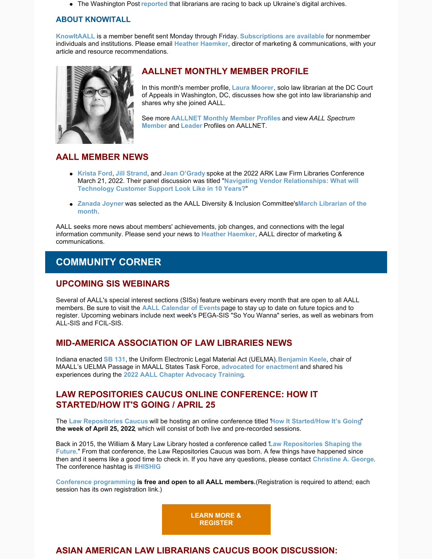The Washington Post **[reported](https://www.washingtonpost.com/technology/2022/04/08/ukraine-digital-history/)** that librarians are racing to back up Ukraine's digital archives.

#### **ABOUT KNOWITALL**

**[KnowItAALL](https://www.aallnet.org/resources-publications/publications/knowitaall/)** is a member benefit sent Monday through Friday. **[Subscriptions](https://www.aallnet.org/resources-publications/publications/knowitaall/) are available** for nonmember individuals and institutions. Please email **Heather [Haemker](mailto:hhaemker@aall.org)**, director of marketing & communications, with your article and resource recommendations.



# **AALLNET MONTHLY MEMBER PROFILE**

In this month's member profile, **Laura [Moorer](https://www.aallnet.org/member-profile/laura-moorer/)**, solo law librarian at the DC Court of Appeals in Washington, DC, discusses how she got into law librarianship and shares why she joined AALL.

See more **[AALLNET](https://www.aallnet.org/community/membership/meet-our-members/aallnet-member-profiles/) Monthly Member Profiles** and view *AALL Spectrum* **[Member](https://www.aallnet.org/community/membership/meet-our-members/aall-spectrum-member-profiles/)** and **[Leader](https://www.aallnet.org/community/membership/meet-our-members/aall-spectrum-leader-profiles/)** Profiles on AALLNET.

## **AALL MEMBER NEWS**

- **[Krista](https://www.aallnet.org/members_only/membership/IndividualFormPublicMembers/detail?id=2010019D11B) Ford**, **Jill [Strand](https://www.aallnet.org/members_only/membership/IndividualFormPublicMembers/detail?id=2010013096E)**, and **Jean [O'Grady](https://www.aallnet.org/members_only/membership/IndividualFormPublicMembers/detail?id=2010004A2FA)** spoke at the 2022 ARK Law Firm Libraries Conference March 21, 2022. Their panel discussion was titled "**Navigating Vendor [Relationships:](https://www.lawfirmlibraries.com/agenda/) What will Technology Customer Support Look Like in 10 Years?**"
- **[Zanada](https://www.aallnet.org/members_only/membership/IndividualFormPublicMembers/detail?id=2010017CB9A) Joyner** was selected as the AALL Diversity & Inclusion [Committee's](https://community.aallnet.org/communities/community-home/digestviewer/viewthread?MessageKey=e6bb7ae1-0848-4c00-a8b4-bd7c7957d31a&CommunityKey=30160985-d567-42f3-a52e-a50b26ea7f0a&bm=e6bb7ae1-0848-4c00-a8b4-bd7c7957d31a#bme6bb7ae1-0848-4c00-a8b4-bd7c7957d31a)**March Librarian of the month**.

AALL seeks more news about members' achievements, job changes, and connections with the legal information community. Please send your news to **Heather [Haemker](mailto:hhaemker@aall.org)**, AALL director of marketing & communications.

# **COMMUNITY CORNER**

#### **UPCOMING SIS WEBINARS**

Several of AALL's special interest sections (SISs) feature webinars every month that are open to all AALL members. Be sure to visit the **AALL [Calendar](https://www.aallnet.org/forms/MeetingCalendar/) of Events**page to stay up to date on future topics and to register. Upcoming webinars include next week's PEGA-SIS "So You Wanna" series, as well as webinars from ALL-SIS and FCIL-SIS.

## **MID-AMERICA ASSOCIATION OF LAW LIBRARIES NEWS**

Indiana enacted **SB [131](https://www.ncsl.org/research/about-state-legislatures/uniform-electronic-legal-material-legislation.aspx)**, the Uniform Electronic Legal Material Act (UELMA).**[Benjamin](https://www.aallnet.org/members_only/membership/IndividualFormPublicMembers/detail?id=20100164AC7) Keele**, chair of MAALL's UELMA Passage in MAALL States Task Force, **[advocated](https://mckinneylaw.iu.edu/news/releases/2022/03/iu-mckinneys-ben-keele-advocates-for-uelma-at-indiana-statehouse.html) for enactment** and shared his experiences during the **2022 AALL Chapter [Advocacy](https://elearning.aallnet.org/products/2022-aall-chapter-advocacy-training) Training**.

### **LAW REPOSITORIES CAUCUS ONLINE CONFERENCE: HOW IT STARTED/HOW IT'S GOING / APRIL 25**

The **Law [Repositories](https://community.aallnet.org/lawrepositories/home) Caucus** will be hosting an online conference titled "**How It [Started/How](https://larc.cardozo.yu.edu/his-hig/) It's Going**" **the week of April 25, 2022**, which will consist of both live and pre-recorded sessions.

Back in 2015, the William & Mary Law Library hosted a conference called "**Law [Repositories](https://scholarship.law.wm.edu/lawrepositories/) Shaping the Future**." From that conference, the Law Repositories Caucus was born. A few things have happened since then and it seems like a good time to check in. If you have any questions, please contact **[Christine](mailto:christine.george@yu.edu) A. George**. The conference hashtag is **[#HISHIG](https://twitter.com/search?q=%23HISHIG&src=typed_query)**

**Conference [programming](https://drive.google.com/file/d/1wAEJaXx9hTADaS-BMpZ7d92iR1mDYI14/view) is free and open to all AALL members.**(Registration is required to attend; each session has its own registration link.)

> **LEARN MORE & [REGISTER](https://drive.google.com/file/d/1wAEJaXx9hTADaS-BMpZ7d92iR1mDYI14/view)**

# **ASIAN AMERICAN LAW LIBRARIANS CAUCUS BOOK DISCUSSION:**